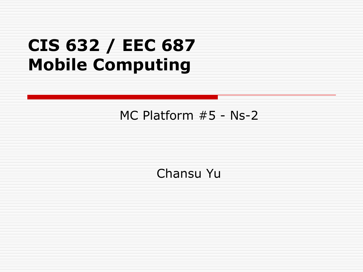### **CIS 632 / EEC 687 Mobile Computing**

#### MC Platform #5 - Ns-2

#### Chansu Yu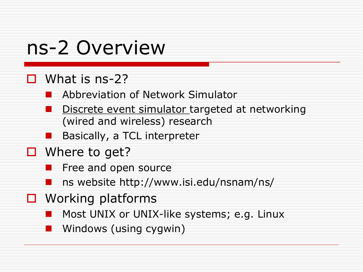# ns-2 Overview

#### $\Box$  What is ns-2?

Abbreviation of Network Simulator

- Discrete event simulator targeted at networking (wired and wireless) research
- Basically, a TCL interpreter
- $\Box$  Where to get?
	- Free and open source
	- ns website http://www.isi.edu/nsnam/ns/
- $\Box$  Working platforms
	- Most UNIX or UNIX-like systems; e.g. Linux
	- Windows (using cygwin)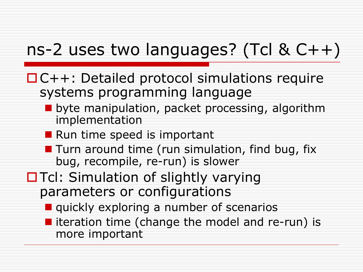### ns-2 uses two languages? (Tcl & C++)

- □C++: Detailed protocol simulations require systems programming language
	- **u** byte manipulation, packet processing, algorithm implementation
	- Run time speed is important
	- $\blacksquare$  Turn around time (run simulation, find bug, fix bug, recompile, re-run) is slower
- $\Box$  Tcl: Simulation of slightly varying parameters or configurations
	- **quickly exploring a number of scenarios**
	- $\blacksquare$  iteration time (change the model and re-run) is more important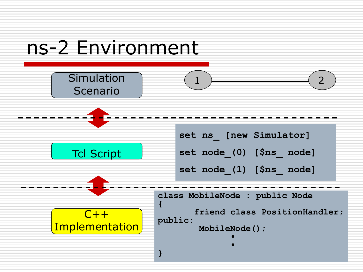# ns-2 Environment

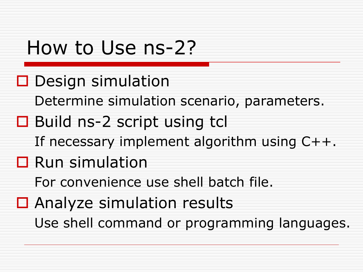### How to Use ns-2?

- $\square$  Design simulation
	- Determine simulation scenario, parameters.
- **□** Build ns-2 script using tcl
	- If necessary implement algorithm using C++.
- **□** Run simulation
	- For convenience use shell batch file.
- □ Analyze simulation results Use shell command or programming languages.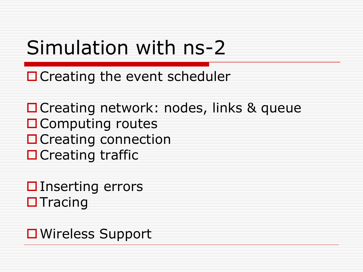# Simulation with ns-2

 $\Box$  Creating the event scheduler

□ Creating network: nodes, links & queue □ Computing routes **□ Creating connection**  $\Box$  Creating traffic

 $\square$  Inserting errors  $\Box$  Tracing

**□ Wireless Support**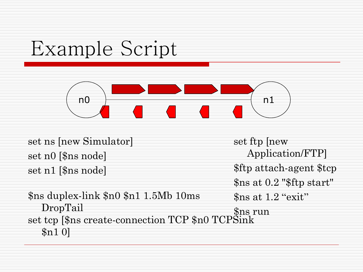# Example Script



set ns [new Simulator] set n0 [\$ns node] set n1 [\$ns node]

\$ns duplex-link \$n0 \$n1 1.5Mb 10ms DropTail set tcp [\$ns create-connection TCP \$n0 TCPSink \$n1 0]

set ftp [new Application/FTP] \$ftp attach-agent \$tcp \$ns at 0.2 "\$ftp start" \$ns at 1.2 "exit" \$ns run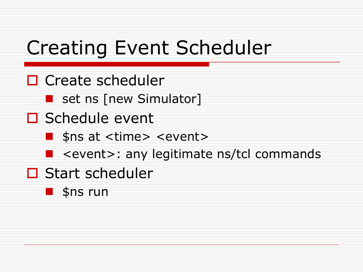# Creating Event Scheduler

- □ Create scheduler
	- **Set ns [new Simulator]**
- $\square$  Schedule event
	- **Sans at <time> <event>**
	- **E** <event>: any legitimate ns/tcl commands
- □ Start scheduler
	- **B** \$ns run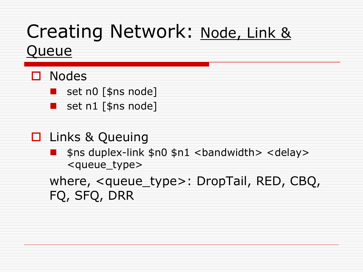# Creating Network: Node, Link &

#### Queue

#### □ Nodes

- set n0 [\$ns node]
- set n1 [\$ns node]
- **□** Links & Queuing
	- $$ns$  duplex-link  $$n0$   $$n1$  <br/>chandwidth> <delay> <queue\_type>

where, <queue\_type>: DropTail, RED, CBQ, FQ, SFQ, DRR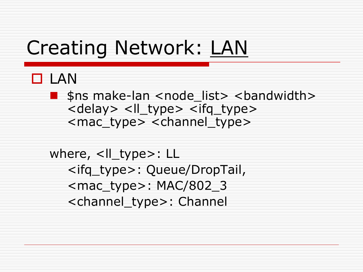### Creating Network: LAN

#### $\Box$  LAN

**Shanger Shandwidth>** <node list> <br/>bandwidth> <delay> <ll type> <ifq type> <mac\_type> <channel\_type>

where, <Il\_type>: LL <ifq\_type>: Queue/DropTail, <mac\_type>: MAC/802\_3 <channel\_type>: Channel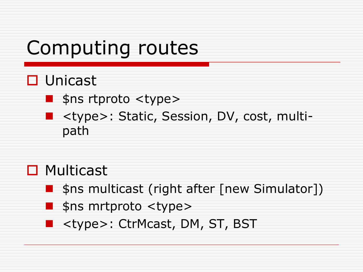# Computing routes

#### □ Unicast

- $\blacksquare$  \$ns rtproto <type>
- <type>: Static, Session, DV, cost, multipath

#### □ Multicast

- **Shanger 1.5 Shanger (1998)** Simulator 11
	- \$ns mrtproto <type>
- **E** <type>: CtrMcast, DM, ST, BST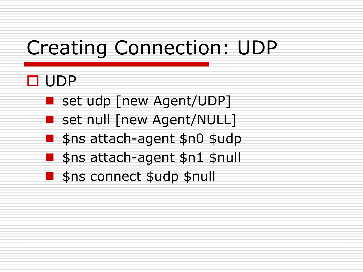# Creating Connection: UDP

### **O** UDP

- set udp [new Agent/UDP]
- **Set null [new Agent/NULL]**
- **Sans attach-agent \$n0 \$udp**
- **Sans attach-agent \$n1 \$null**
- **S**ns connect \$udp \$null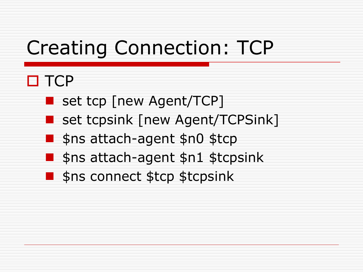# Creating Connection: TCP

#### $\Box$  TCP

- **B** set tcp [new Agent/TCP]
- **B** set tcpsink [new Agent/TCPSink]
- **Shattach-agent \$n0 \$tcp**
- **Sansattach-agent \$n1 \$tcpsink**
- **S** sns connect \$tcp \$tcpsink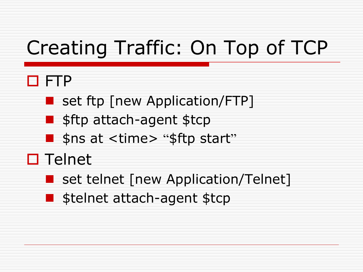# Creating Traffic: On Top of TCP

#### FTP

- **B** set ftp [new Application/FTP]
- $\blacksquare$  \$ftp attach-agent \$tcp
- **Shit Shit Shits 1.1 Shits Start**"
- $\square$  Telnet
	- **Set telnet [new Application/Telnet]**
	- **Stelnet attach-agent \$tcp**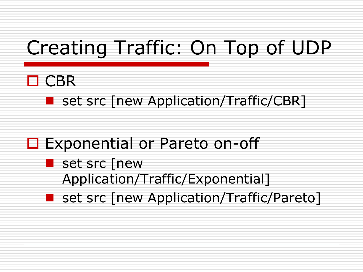# Creating Traffic: On Top of UDP

- $\Box$  CBR
	- **Set src [new Application/Traffic/CBR]**
- **□** Exponential or Pareto on-off
	- **Set src [new** Application/Traffic/Exponential]
	- **Set src [new Application/Traffic/Pareto]**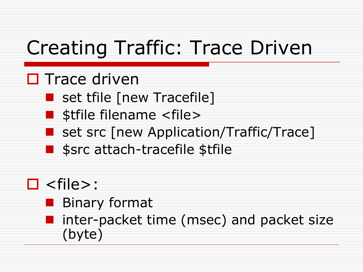# Creating Traffic: Trace Driven

#### $\square$  Trace driven

- **Set trile [new Tracefile]**
- **B** stfile filename <file>
- set src [new Application/Traffic/Trace]
- **Sance attach-tracefile \$tfile**

### $\square$  <file>:

- **Binary format**
- **I** inter-packet time (msec) and packet size (byte)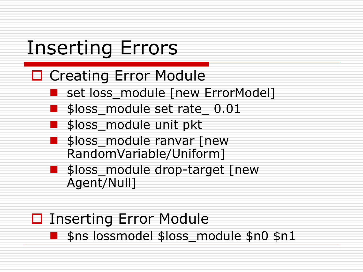# Inserting Errors

#### □ Creating Error Module

- set loss\_module [new ErrorModel]
- \$loss\_module set rate\_ 0.01
- \$loss\_module unit pkt
- **Sloss** module ranvar [new RandomVariable/Uniform]
- **Sloss** module drop-target [new Agent/Null]
- **□** Inserting Error Module \$ns lossmodel \$loss\_module \$n0 \$n1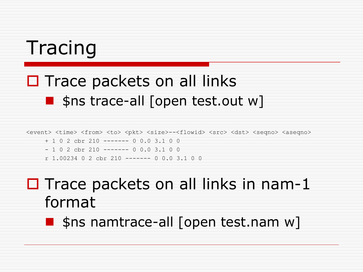### Tracing

### $\Box$  Trace packets on all links  $\blacksquare$  \$ns trace-all [open test.out w]

<event> <time> <from> <to> <pkt> <size>--<flowid> <src> <dst> <seqno> <aseqno>

- + 1 0 2 cbr 210 ------- 0 0.0 3.1 0 0
- 1 0 2 cbr 210 ------- 0 0.0 3.1 0 0
- r 1.00234 0 2 cbr 210 ------- 0 0.0 3.1 0 0

### $\Box$  Trace packets on all links in nam-1 format

**Shanger-all [open test.nam w]**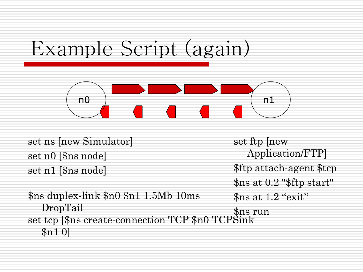# Example Script (again)



set ns [new Simulator] set n0 [\$ns node] set n1 [\$ns node]

\$ns duplex-link \$n0 \$n1 1.5Mb 10ms DropTail set tcp [\$ns create-connection TCP \$n0 TCPSink \$n1 0]

set ftp [new Application/FTP] \$ftp attach-agent \$tcp \$ns at 0.2 "\$ftp start" \$ns at 1.2 "exit" \$ns run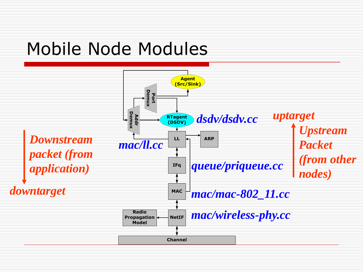### Mobile Node Modules

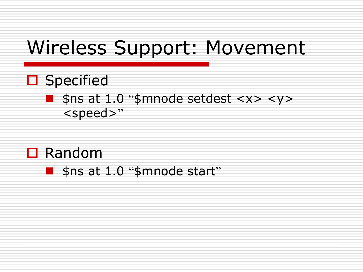# Wireless Support: Movement

□ Specified

#### $\blacksquare$  \$ns at 1.0 "\$mnode setdest <x> <y> <speed>"

- □ Random
	- **Shat 1.0 "\$mnode start"**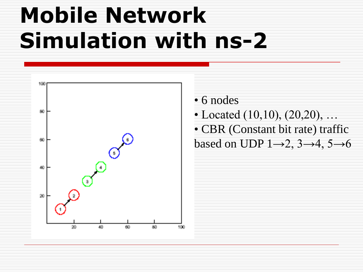

• 6 nodes • Located  $(10,10)$ ,  $(20,20)$ , ... • CBR (Constant bit rate) traffic based on UDP  $1\rightarrow 2$ ,  $3\rightarrow 4$ ,  $5\rightarrow 6$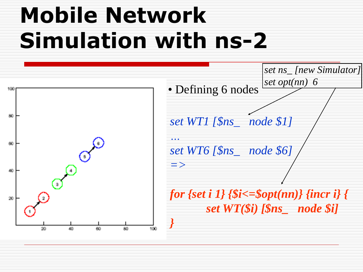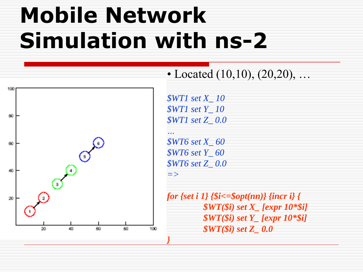

• Located  $(10,10)$ ,  $(20,20)$ , ...

*\$WT1 set X\_ 10 \$WT1 set Y\_ 10 \$WT1 set Z\_ 0.0*

*\$WT6 set X\_ 60 \$WT6 set Y\_ 60 \$WT6 set Z\_ 0.0*

*…*

*}*

*for {set i 1} {\$i<=\$opt(nn)} {incr i} { \$WT(\$i) set X\_ [expr 10\*\$i] \$WT(\$i) set Y\_ [expr 10\*\$i] \$WT(\$i) set Z\_ 0.0*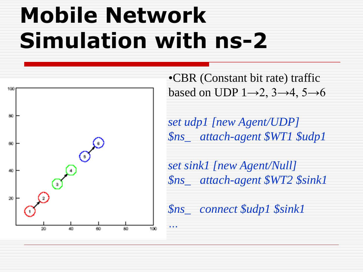*…*



•CBR (Constant bit rate) traffic based on UDP  $1\rightarrow 2$ ,  $3\rightarrow 4$ ,  $5\rightarrow 6$ 

*set udp1 [new Agent/UDP] \$ns\_ attach-agent \$WT1 \$udp1*

*set sink1 [new Agent/Null] \$ns\_ attach-agent \$WT2 \$sink1*

*\$ns\_ connect \$udp1 \$sink1*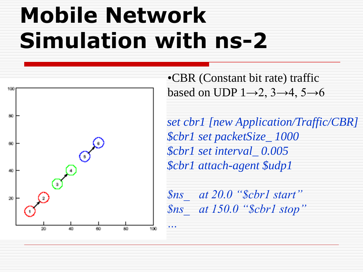*…*



•CBR (Constant bit rate) traffic based on UDP  $1\rightarrow 2$ ,  $3\rightarrow 4$ ,  $5\rightarrow 6$ 

*set cbr1 [new Application/Traffic/CBR] \$cbr1 set packetSize\_ 1000 \$cbr1 set interval\_ 0.005 \$cbr1 attach-agent \$udp1*

*\$ns\_ at 20.0 "\$cbr1 start" \$ns\_ at 150.0 "\$cbr1 stop"*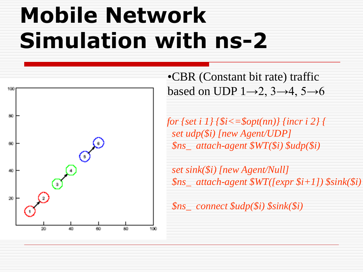

•CBR (Constant bit rate) traffic based on UDP  $1\rightarrow 2$ ,  $3\rightarrow 4$ ,  $5\rightarrow 6$ 

*for {set i 1} {\$i<=\$opt(nn)} {incr i 2} { set udp(\$i) [new Agent/UDP] \$ns\_ attach-agent \$WT(\$i) \$udp(\$i)*

*set sink(\$i) [new Agent/Null] \$ns\_ attach-agent \$WT([expr \$i+1]) \$sink(\$i)*

*\$ns\_ connect \$udp(\$i) \$sink(\$i)*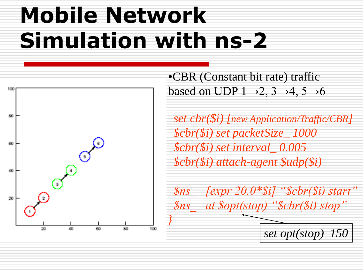*}*



•CBR (Constant bit rate) traffic based on UDP  $1\rightarrow 2$ ,  $3\rightarrow 4$ ,  $5\rightarrow 6$ 

*set cbr(\$i) [new Application/Traffic/CBR] \$cbr(\$i) set packetSize\_ 1000 \$cbr(\$i) set interval\_ 0.005 \$cbr(\$i) attach-agent \$udp(\$i)*

*\$ns\_ [expr 20.0\*\$i] "\$cbr(\$i) start" \$ns\_ at \$opt(stop) "\$cbr(\$i) stop"*

*set opt(stop) 150*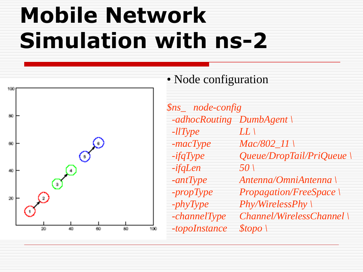

• Node configuration

*\$ns\_ node-config -adhocRouting DumbAgent \ -llType LL \ -macType Mac/802\_11 \ -ifqType Queue/DropTail/PriQueue \ -ifqLen 50 \ -antType Antenna/OmniAntenna \ -propType Propagation/FreeSpace \ -phyType Phy/WirelessPhy \ -channelType Channel/WirelessChannel \ -topoInstance \$topo \*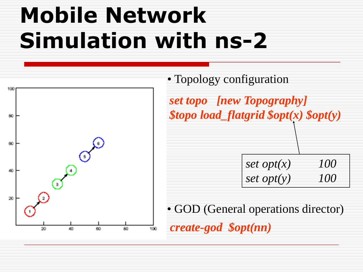

• Topology configuration *set topo [new Topography] \$topo load\_flatgrid \$opt(x) \$opt(y) set opt(x) 100 set opt(y) 100* 

• GOD (General operations director) *create-god \$opt(nn)*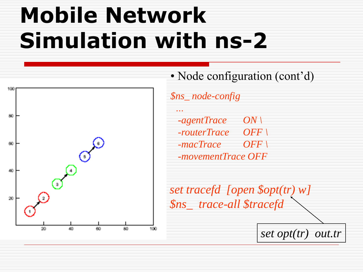

• Node configuration (cont'd)

*\$ns\_ node-config … -agentTrace ON \ -routerTrace OFF \ -macTrace OFF \ -movementTrace OFF*

*set tracefd [open \$opt(tr) w] \$ns\_ trace-all \$tracefd*

*set opt(tr) out.tr*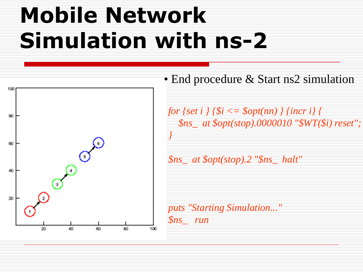

• End procedure & Start ns2 simulation

*for {set i } {\$i <= \$opt(nn) } {incr i} { \$ns\_ at \$opt(stop).0000010 "\$WT(\$i) reset"; }*

*\$ns\_ at \$opt(stop).2 "\$ns\_ halt"*

*puts "Starting Simulation..." \$ns\_ run*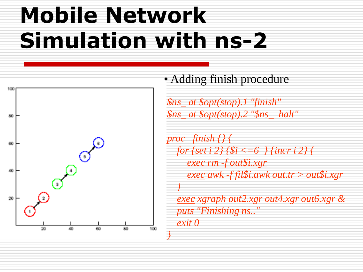*}*



• Adding finish procedure

*\$ns\_ at \$opt(stop).1 "finish" \$ns\_ at \$opt(stop).2 "\$ns\_ halt"*

*proc finish {} { for {set i 2} {\$i <=6 } {incr i 2} { exec rm -f out\$i.xgr exec awk -f fil\$i.awk out.tr > out\$i.xgr }*

*exec xgraph out2.xgr out4.xgr out6.xgr & puts "Finishing ns.." exit 0*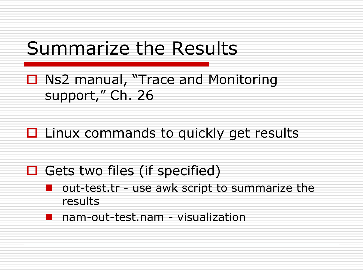### Summarize the Results

□ Ns2 manual, "Trace and Monitoring support," Ch. 26

 $\Box$  Linux commands to quickly get results

 $\Box$  Gets two files (if specified)

 out-test.tr - use awk script to summarize the results

nam-out-test.nam - visualization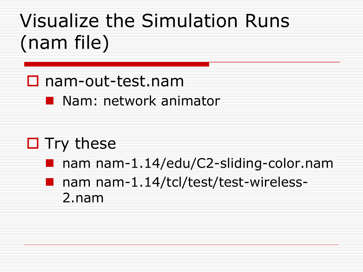# Visualize the Simulation Runs (nam file)

- nam-out-test.nam
	- **Nam: network animator**
- $\Box$  Try these
	- nam nam-1.14/edu/C2-sliding-color.nam
	- nam nam-1.14/tcl/test/test-wireless-2.nam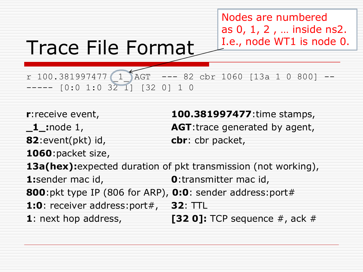Nodes are numbered as 0, 1, 2 , … inside ns2. I.e., node WT1 is node 0.

# Trace File Format

r 100.381997477  $\left(1\right)$  AGT --- 82 cbr 1060  $[13a 1 0 800]$  ------- [0:0 1:0 32 1] [32 0] 1 0

**82**:event(pkt) id, **cbr**: cbr packet,

**1060**:packet size,

**r**:receive event, **100.381997477**:time stamps, **\_1\_:**node 1, **AGT**:trace generated by agent,

**13a(hex):**expected duration of pkt transmission (not working), **1:**sender mac id, **0**:transmitter mac id, **800**:pkt type IP (806 for ARP), **0:0**: sender address:port# **1:0**: receiver address:port#, **32**: TTL **1**: next hop address, **[32 0]:** TCP sequence #, ack #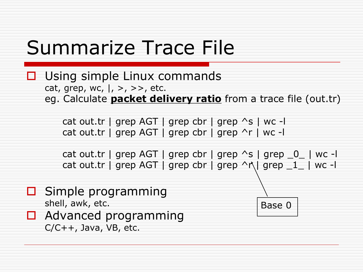# Summarize Trace File

**□** Using simple Linux commands cat, grep, wc,  $\vert$ , >, >>, etc. eg. Calculate **packet delivery ratio** from a trace file (out.tr)

> cat out.tr | grep AGT | grep cbr | grep ^s | wc -l cat out.tr | grep AGT | grep cbr | grep ^r | wc -l

cat out.tr | grep AGT | grep cbr | grep  $\sim$ s | grep  $\_\odot$  | wc -l cat out.tr | grep AGT | grep cbr | grep  $\wedge \wedge$  | grep  $1$  | wc -

Base 0

- $\Box$  Simple programming shell, awk, etc.
- $\Box$  Advanced programming  $C/C++$ , Java, VB, etc.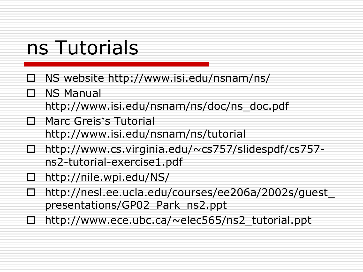# ns Tutorials

- $\Box$  NS website http://www.isi.edu/nsnam/ns/
- □ NS Manual
	- http://www.isi.edu/nsnam/ns/doc/ns\_doc.pdf
- Marc Greis's Tutorial
	- http://www.isi.edu/nsnam/ns/tutorial
- http://www.cs.virginia.edu/~cs757/slidespdf/cs757 ns2-tutorial-exercise1.pdf
- $\Box$  http://nile.wpi.edu/NS/
- http://nesl.ee.ucla.edu/courses/ee206a/2002s/guest\_ presentations/GP02\_Park\_ns2.ppt
- http://www.ece.ubc.ca/~elec565/ns2\_tutorial.ppt